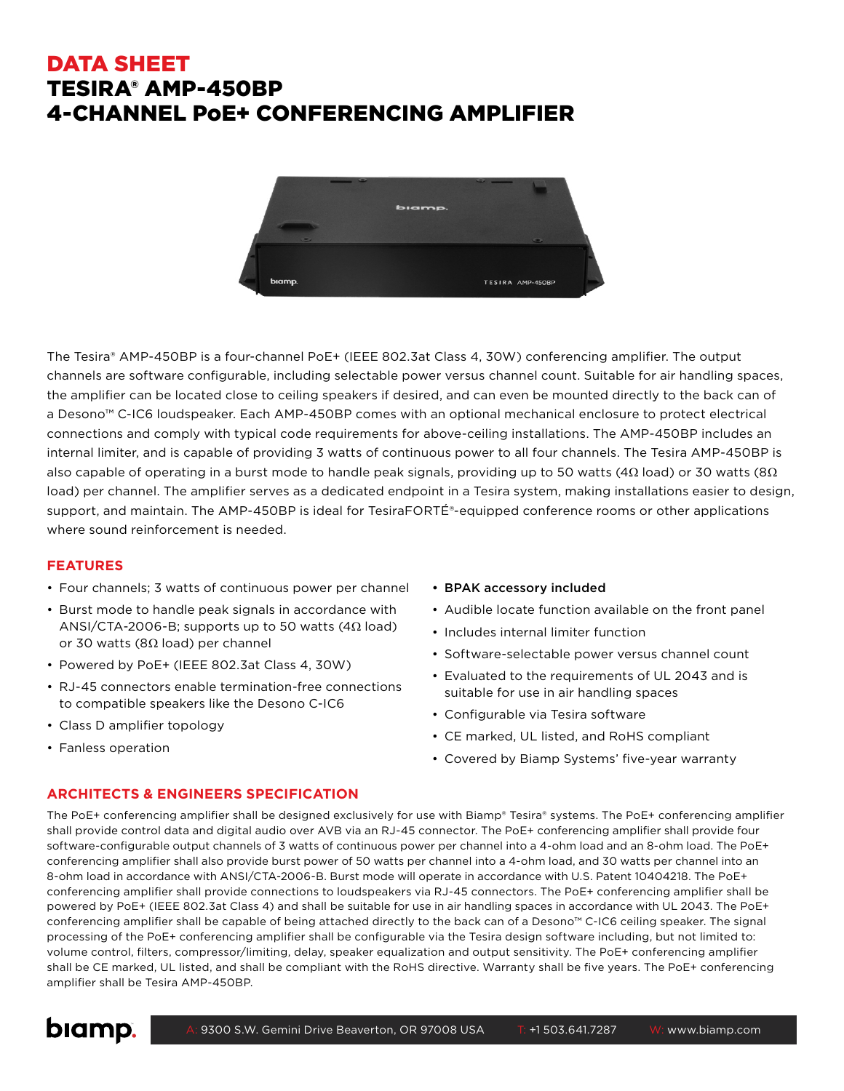# DATA SHEET TESIRA® AMP-450BP 4-CHANNEL PoE+ CONFERENCING AMPLIFIER



The Tesira® AMP-450BP is a four-channel PoE+ (IEEE 802.3at Class 4, 30W) conferencing amplifier. The output channels are software configurable, including selectable power versus channel count. Suitable for air handling spaces, the amplifier can be located close to ceiling speakers if desired, and can even be mounted directly to the back can of a Desono™ C-IC6 loudspeaker. Each AMP-450BP comes with an optional mechanical enclosure to protect electrical connections and comply with typical code requirements for above-ceiling installations. The AMP-450BP includes an internal limiter, and is capable of providing 3 watts of continuous power to all four channels. The Tesira AMP-450BP is also capable of operating in a burst mode to handle peak signals, providing up to 50 watts (4 $\Omega$  load) or 30 watts (8 $\Omega$ load) per channel. The amplifier serves as a dedicated endpoint in a Tesira system, making installations easier to design, support, and maintain. The AMP-450BP is ideal for TesiraFORTÉ®-equipped conference rooms or other applications where sound reinforcement is needed.

### **FEATURES**

- Four channels; 3 watts of continuous power per channel
- Burst mode to handle peak signals in accordance with ANSI/CTA-2006-B; supports up to 50 watts (4Ω load) or 30 watts (8Ω load) per channel
- Powered by PoE+ (IEEE 802.3at Class 4, 30W)
- RJ-45 connectors enable termination-free connections to compatible speakers like the Desono C-IC6
- Class D amplifier topology
- Fanless operation

### • BPAK accessory included

- Audible locate function available on the front panel
- Includes internal limiter function
- Software-selectable power versus channel count
- Evaluated to the requirements of UL 2043 and is suitable for use in air handling spaces
- Configurable via Tesira software
- CE marked, UL listed, and RoHS compliant
- Covered by Biamp Systems' five-year warranty

# **ARCHITECTS & ENGINEERS SPECIFICATION**

The PoE+ conferencing amplifier shall be designed exclusively for use with Biamp® Tesira® systems. The PoE+ conferencing amplifier shall provide control data and digital audio over AVB via an RJ-45 connector. The PoE+ conferencing amplifier shall provide four software-configurable output channels of 3 watts of continuous power per channel into a 4-ohm load and an 8-ohm load. The PoE+ conferencing amplifier shall also provide burst power of 50 watts per channel into a 4-ohm load, and 30 watts per channel into an 8-ohm load in accordance with ANSI/CTA-2006-B. Burst mode will operate in accordance with U.S. Patent 10404218. The PoE+ conferencing amplifier shall provide connections to loudspeakers via RJ-45 connectors. The PoE+ conferencing amplifier shall be powered by PoE+ (IEEE 802.3at Class 4) and shall be suitable for use in air handling spaces in accordance with UL 2043. The PoE+ conferencing amplifier shall be capable of being attached directly to the back can of a Desono™ C-IC6 ceiling speaker. The signal processing of the PoE+ conferencing amplifier shall be configurable via the Tesira design software including, but not limited to: volume control, filters, compressor/limiting, delay, speaker equalization and output sensitivity. The PoE+ conferencing amplifier shall be CE marked, UL listed, and shall be compliant with the RoHS directive. Warranty shall be five years. The PoE+ conferencing amplifier shall be Tesira AMP-450BP.